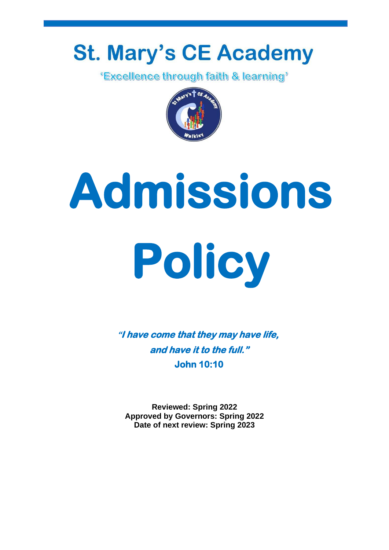## **St. Mary's CE Academy**

*'Excellence through faith & learning'* 



# **Admissions Policy**

**"I have come that they may have life, and have it to the full." John 10:10** 

**Reviewed: Spring 2022 Approved by Governors: Spring 2022 Date of next review: Spring 2023**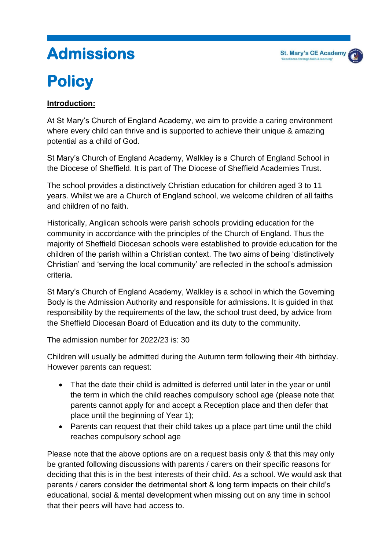## **Admissions**

### **Policy**

#### **Introduction:**

At St Mary's Church of England Academy, we aim to provide a caring environment where every child can thrive and is supported to achieve their unique & amazing potential as a child of God.

St Mary's Church of England Academy, Walkley is a Church of England School in the Diocese of Sheffield. It is part of The Diocese of Sheffield Academies Trust.

The school provides a distinctively Christian education for children aged 3 to 11 years. Whilst we are a Church of England school, we welcome children of all faiths and children of no faith.

Historically, Anglican schools were parish schools providing education for the community in accordance with the principles of the Church of England. Thus the majority of Sheffield Diocesan schools were established to provide education for the children of the parish within a Christian context. The two aims of being 'distinctively Christian' and 'serving the local community' are reflected in the school's admission criteria.

St Mary's Church of England Academy, Walkley is a school in which the Governing Body is the Admission Authority and responsible for admissions. It is guided in that responsibility by the requirements of the law, the school trust deed, by advice from the Sheffield Diocesan Board of Education and its duty to the community.

The admission number for 2022/23 is: 30

Children will usually be admitted during the Autumn term following their 4th birthday. However parents can request:

- That the date their child is admitted is deferred until later in the year or until the term in which the child reaches compulsory school age (please note that parents cannot apply for and accept a Reception place and then defer that place until the beginning of Year 1);
- Parents can request that their child takes up a place part time until the child reaches compulsory school age

Please note that the above options are on a request basis only & that this may only be granted following discussions with parents / carers on their specific reasons for deciding that this is in the best interests of their child. As a school. We would ask that parents / carers consider the detrimental short & long term impacts on their child's educational, social & mental development when missing out on any time in school that their peers will have had access to.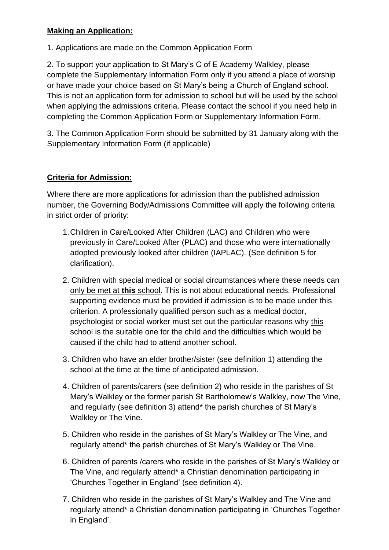#### **Making an Application:**

1. Applications are made on the Common Application Form

2. To support your application to St Mary's C of E Academy Walkley, please complete the Supplementary Information Form only if you attend a place of worship or have made your choice based on St Mary's being a Church of England school. This is not an application form for admission to school but will be used by the school when applying the admissions criteria. Please contact the school if you need help in completing the Common Application Form or Supplementary Information Form.

3. The Common Application Form should be submitted by 31 January along with the Supplementary Information Form (if applicable)

#### **Criteria for Admission:**

Where there are more applications for admission than the published admission number, the Governing Body/Admissions Committee will apply the following criteria in strict order of priority:

- 1.Children in Care/Looked After Children (LAC) and Children who were previously in Care/Looked After (PLAC) and those who were internationally adopted previously looked after children (IAPLAC). (See definition 5 for clarification).
- 2. Children with special medical or social circumstances where these needs can only be met at **this** school. This is not about educational needs. Professional supporting evidence must be provided if admission is to be made under this criterion. A professionally qualified person such as a medical doctor, psychologist or social worker must set out the particular reasons why this school is the suitable one for the child and the difficulties which would be caused if the child had to attend another school.
- 3. Children who have an elder brother/sister (see definition 1) attending the school at the time at the time of anticipated admission.
- 4. Children of parents/carers (see definition 2) who reside in the parishes of St Mary's Walkley or the former parish St Bartholomew's Walkley, now The Vine, and regularly (see definition 3) attend\* the parish churches of St Mary's Walkley or The Vine.
- 5. Children who reside in the parishes of St Mary's Walkley or The Vine, and regularly attend\* the parish churches of St Mary's Walkley or The Vine.
- 6. Children of parents /carers who reside in the parishes of St Mary's Walkley or The Vine, and regularly attend\* a Christian denomination participating in 'Churches Together in England' (see definition 4).
- 7. Children who reside in the parishes of St Mary's Walkley and The Vine and regularly attend\* a Christian denomination participating in 'Churches Together in England'.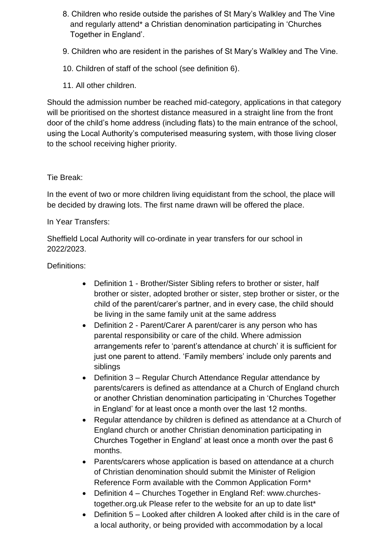- 8. Children who reside outside the parishes of St Mary's Walkley and The Vine and regularly attend\* a Christian denomination participating in 'Churches Together in England'.
- 9. Children who are resident in the parishes of St Mary's Walkley and The Vine.
- 10. Children of staff of the school (see definition 6).
- 11. All other children.

Should the admission number be reached mid-category, applications in that category will be prioritised on the shortest distance measured in a straight line from the front door of the child's home address (including flats) to the main entrance of the school, using the Local Authority's computerised measuring system, with those living closer to the school receiving higher priority.

#### Tie Break:

In the event of two or more children living equidistant from the school, the place will be decided by drawing lots. The first name drawn will be offered the place.

In Year Transfers:

Sheffield Local Authority will co-ordinate in year transfers for our school in 2022/2023.

#### Definitions:

- Definition 1 Brother/Sister Sibling refers to brother or sister, half brother or sister, adopted brother or sister, step brother or sister, or the child of the parent/carer's partner, and in every case, the child should be living in the same family unit at the same address
- Definition 2 Parent/Carer A parent/carer is any person who has parental responsibility or care of the child. Where admission arrangements refer to 'parent's attendance at church' it is sufficient for just one parent to attend. 'Family members' include only parents and siblings
- Definition 3 Regular Church Attendance Regular attendance by parents/carers is defined as attendance at a Church of England church or another Christian denomination participating in 'Churches Together in England' for at least once a month over the last 12 months.
- Regular attendance by children is defined as attendance at a Church of England church or another Christian denomination participating in Churches Together in England' at least once a month over the past 6 months.
- Parents/carers whose application is based on attendance at a church of Christian denomination should submit the Minister of Religion Reference Form available with the Common Application Form\*
- Definition 4 Churches Together in England Ref: www.churchestogether.org.uk Please refer to the website for an up to date list\*
- Definition 5 Looked after children A looked after child is in the care of a local authority, or being provided with accommodation by a local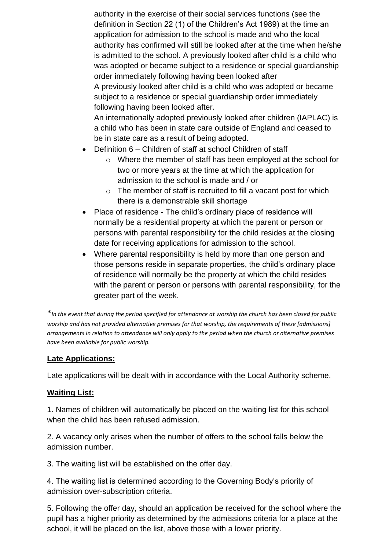authority in the exercise of their social services functions (see the definition in Section 22 (1) of the Children's Act 1989) at the time an application for admission to the school is made and who the local authority has confirmed will still be looked after at the time when he/she is admitted to the school. A previously looked after child is a child who was adopted or became subject to a residence or special guardianship order immediately following having been looked after A previously looked after child is a child who was adopted or became

subject to a residence or special guardianship order immediately following having been looked after.

An internationally adopted previously looked after children (IAPLAC) is a child who has been in state care outside of England and ceased to be in state care as a result of being adopted.

- Definition 6 Children of staff at school Children of staff
	- o Where the member of staff has been employed at the school for two or more years at the time at which the application for admission to the school is made and / or
	- $\circ$  The member of staff is recruited to fill a vacant post for which there is a demonstrable skill shortage
- Place of residence The child's ordinary place of residence will normally be a residential property at which the parent or person or persons with parental responsibility for the child resides at the closing date for receiving applications for admission to the school.
- Where parental responsibility is held by more than one person and those persons reside in separate properties, the child's ordinary place of residence will normally be the property at which the child resides with the parent or person or persons with parental responsibility, for the greater part of the week.

\**In the event that during the period specified for attendance at worship the church has been closed for public worship and has not provided alternative premises for that worship, the requirements of these [admissions] arrangements in relation to attendance will only apply to the period when the church or alternative premises have been available for public worship.*

#### **Late Applications:**

Late applications will be dealt with in accordance with the Local Authority scheme.

#### **Waiting List:**

1. Names of children will automatically be placed on the waiting list for this school when the child has been refused admission.

2. A vacancy only arises when the number of offers to the school falls below the admission number.

3. The waiting list will be established on the offer day.

4. The waiting list is determined according to the Governing Body's priority of admission over-subscription criteria.

5. Following the offer day, should an application be received for the school where the pupil has a higher priority as determined by the admissions criteria for a place at the school, it will be placed on the list, above those with a lower priority.